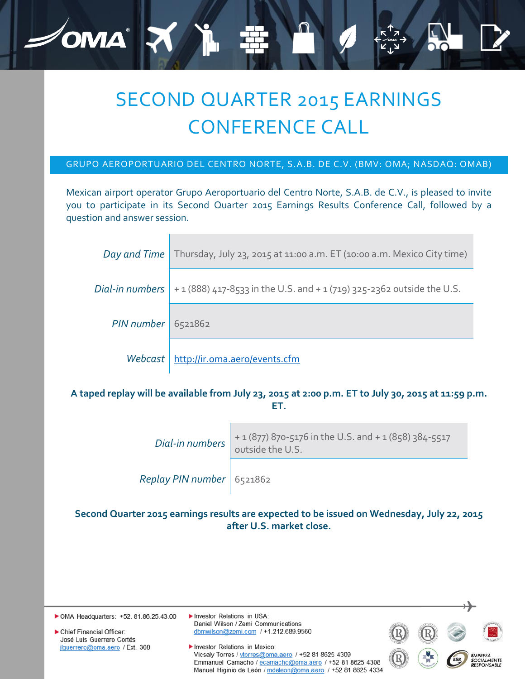## SECOND QUARTER 2015 EARNINGS CONFERENCE CALL

OMA X

## GRUPO AEROPORTUARIO DEL CENTRO NORTE, S.A.B. DE C.V. (BMV: OMA; NASDAQ: OMAB)

Mexican airport operator Grupo Aeroportuario del Centro Norte, S.A.B. de C.V., is pleased to invite you to participate in its Second Quarter 2015 Earnings Results Conference Call, followed by a question and answer session.

|                      | Day and Time   Thursday, July 23, 2015 at 11:00 a.m. ET (10:00 a.m. Mexico City time)             |  |  |  |
|----------------------|---------------------------------------------------------------------------------------------------|--|--|--|
|                      | <i>Dial-in numbers</i> $  + 1(888) 417-8533$ in the U.S. and $+ 1(719) 325-2362$ outside the U.S. |  |  |  |
| $PIN number$ 6521862 |                                                                                                   |  |  |  |
| Webcast              | http://ir.oma.aero/events.cfm                                                                     |  |  |  |

## **A taped replay will be available from July 23, 2015 at 2:00 p.m. ET to July 30, 2015 at 11:59 p.m. ET.**

| Dial-in numbers             | + 1 (877) 870-5176 in the U.S. and + 1 (858) 384-5517<br>outside the U.S. |  |
|-----------------------------|---------------------------------------------------------------------------|--|
| Replay PIN number   6521862 |                                                                           |  |

**Second Quarter 2015 earnings results are expected to be issued on Wednesday, July 22, 2015 after U.S. market close.**

| • OMA Headquarters: +52, 81.86.25.43.00               | Investor Relations in USA:<br>Daniel Wilson / Zemi Communications                                                       |     |     |                                                               |
|-------------------------------------------------------|-------------------------------------------------------------------------------------------------------------------------|-----|-----|---------------------------------------------------------------|
| Chief Financial Officer:<br>José Luis Guerrero Cortés | dbmwilson@zemi.com / $+1.212.689.9560$                                                                                  |     |     |                                                               |
| ilquerrero@oma.aero / Ext. 308                        | Investor Relations in Mexico:<br>Vicsaly Torres / vtorres@oma.aero / +52 81 8625 4309                                   | (R) | ESR | <b>E</b> MPRESA<br><b>S</b> OCIALMENTE<br><b>R</b> ESPONSABLE |
|                                                       | Emmanuel Camacho / ecamacho@oma.aero / +52 81 8625 4308<br>Manuel Higinio de León / mdeleon@oma.aero / +52 81 8625 4334 |     |     |                                                               |